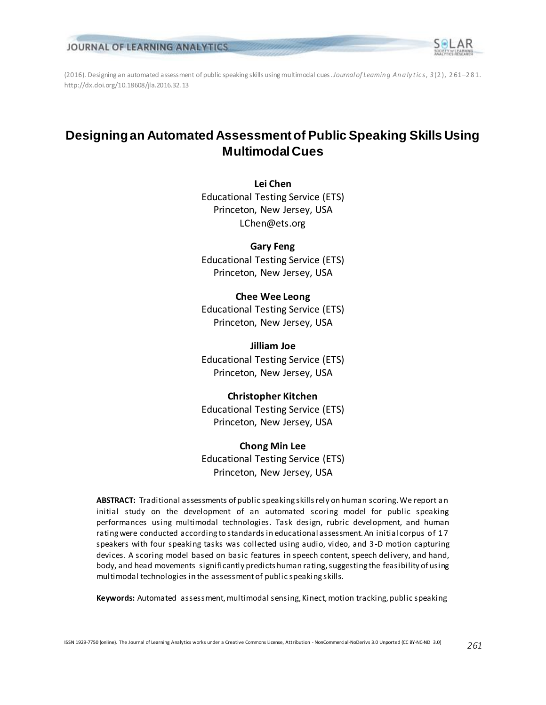

(2016). Designing an automated assessment of public speaking skills using multimodal cues. *Journal of Learnin g An a ly t ic s*, *3* (2 ), 2 61–281. http://dx.doi.org/10.18608/jla.2016.32.13

## **Designing an Automated Assessment of Public Speaking Skills Using Multimodal Cues**

**Lei Chen** Educational Testing Service (ETS) Princeton, New Jersey, USA LChen@ets.org

**Gary Feng** Educational Testing Service (ETS) Princeton, New Jersey, USA

**Chee Wee Leong** Educational Testing Service (ETS) Princeton, New Jersey, USA

**Jilliam Joe** Educational Testing Service (ETS) Princeton, New Jersey, USA

## **Christopher Kitchen**

Educational Testing Service (ETS) Princeton, New Jersey, USA

#### **Chong Min Lee**

Educational Testing Service (ETS) Princeton, New Jersey, USA

**ABSTRACT:** Traditional assessments of public speaking skills rely on human scoring. We report a n initial study on the development of an automated scoring model for public speaking performances using multimodal technologies. Task design, rubric development, and human rating were conducted according to standards in educational assessment. An initial corpus of 17 speakers with four speaking tasks was collected using audio, video, and 3-D motion capturing devices. A scoring model based on basic features in speech content, speech delivery, and hand, body, and head movements significantly predicts human rating, suggesting the feasibility of using multimodal technologies in the assessment of public speaking skills.

**Keywords:** Automated assessment, multimodal sensing, Kinect, motion tracking, public speaking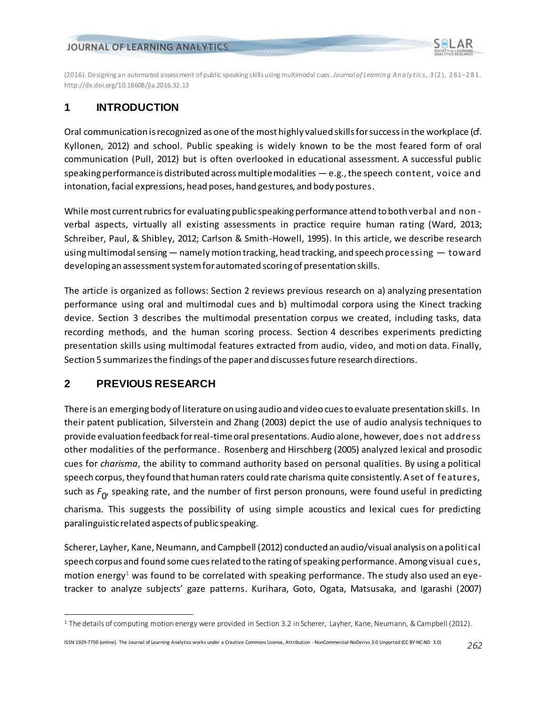

(2016). Designing an automated assessment of public speaking skills using multimodal cues. *Journal of Learnin g An a ly t ic s*, *3* (2 ), 2 61–281. http://dx.doi.org/10.18608/jla.2016.32.13

## **1 INTRODUCTION**

Oral communication is recognized as one of the most highly valued skills for success in the workplace (cf. Kyllonen, 2012) and school. Public speaking is widely known to be the most feared form of oral communication (Pull, 2012) but is often overlooked in educational assessment. A successful public speaking performance is distributed across multiple modalities  $-e.g.,$  the speech content, voice and intonation, facial expressions, head poses, hand gestures, and body postures.

While most current rubrics for evaluating public speaking performance attend to both verbal and non verbal aspects, virtually all existing assessments in practice require human rating (Ward, 2013; Schreiber, Paul, & Shibley, 2012; Carlson & Smith-Howell, 1995). In this article, we describe research using multimodal sensing — namely motion tracking, head tracking, and speech processing — toward developing an assessment system for automated scoring of presentation skills.

The article is organized as follows: Section 2 reviews previous research on a) analyzing presentation performance using oral and multimodal cues and b) multimodal corpora using the Kinect tracking device. Section 3 describes the multimodal presentation corpus we created, including tasks, data recording methods, and the human scoring process. Section 4 describes experiments predicting presentation skills using multimodal features extracted from audio, video, and moti on data. Finally, Section 5 summarizes the findings of the paper and discusses future research directions.

## **2 PREVIOUS RESEARCH**

l

There is an emerging body of literature on using audio and video cues to evaluate presentation skills. In their patent publication, Silverstein and Zhang (2003) depict the use of audio analysis techniques to provide evaluation feedback for real-time oral presentations. Audio alone, however, does not address other modalities of the performance. Rosenberg and Hirschberg (2005) analyzed lexical and prosodic cues for *charisma*, the ability to command authority based on personal qualities. By using a political speech corpus, they found that human raters could rate charisma quite consistently. A set of features, such as *F* 0 , speaking rate, and the number of first person pronouns, were found useful in predicting charisma. This suggests the possibility of using simple acoustics and lexical cues for predicting paralinguistic related aspects of public speaking.

Scherer, Layher, Kane, Neumann, and Campbell (2012) conducted an audio/visual analysis on a political speech corpus and found some cues related to the rating of speaking performance. Among visual cues, motion energy<sup>1</sup> was found to be correlated with speaking performance. The study also used an eyetracker to analyze subjects' gaze patterns. Kurihara, Goto, Ogata, Matsusaka, and Igarashi (2007)

<sup>1</sup> The details of computing motion energy were provided in Section 3.2 in Scherer, Layher, Kane, Neumann, & Campbell (2012).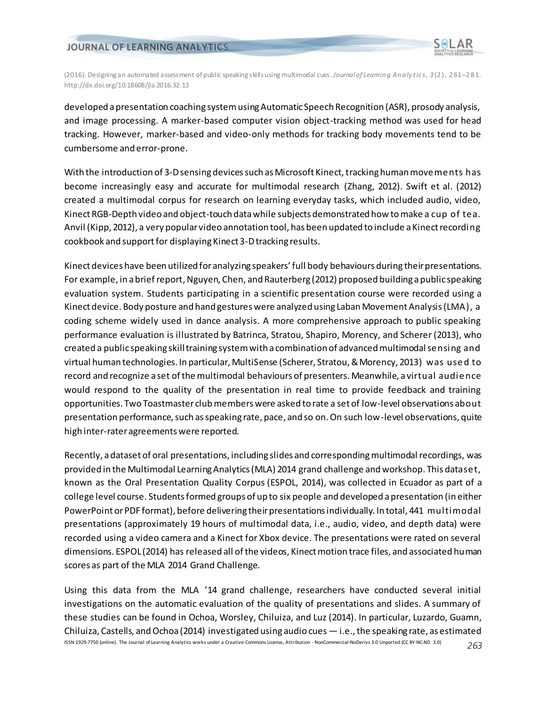

(2016). Designing an automated assessment of public speaking skills using multimodal cues. *Journal of Learnin g An a ly t ic s*, *3* (2 ), 2 61–281. http://dx.doi.org/10.18608/jla.2016.32.13

developed a presentation coaching system using Automatic Speech Recognition (ASR), prosody analysis, and image processing. A marker-based computer vision object-tracking method was used for head tracking. However, marker-based and video-only methods for tracking body movements tend to be cumbersome and error-prone.

With the introduction of 3-D sensing devices such as Microsoft Kinect, tracking human movements has become increasingly easy and accurate for multimodal research (Zhang, 2012). Swift et al. (2012) created a multimodal corpus for research on learning everyday tasks, which included audio, video, Kinect RGB-Depth video and object-touch data while subjects demonstrated how to make a cup of tea. Anvil (Kipp, 2012), a very popular video annotation tool, has been updated to include a Kinect recording cookbook and support for displaying Kinect 3-D tracking results.

Kinect devices have been utilized for analyzing speakers' full body behaviours during their presentations. For example, in a brief report, Nguyen, Chen, and Rauterberg (2012) proposed building a public speaking evaluation system. Students participating in a scientific presentation course were recorded using a Kinect device. Body posture and hand gestures were analyzed using Laban Movement Analysis (LMA), a coding scheme widely used in dance analysis. A more comprehensive approach to public speaking performance evaluation is illustrated by Batrinca, Stratou, Shapiro, Morency, and Scherer (2013), who created a public speaking skill training system with a combination of advanced multimodal sensing and virtual human technologies. In particular, MultiSense (Scherer, Stratou, & Morency, 2013) was used to record and recognize a set of the multimodal behaviours of presenters. Meanwhile, a virtual audience would respond to the quality of the presentation in real time to provide feedback and training opportunities. Two Toastmaster club members were asked to rate a set of low-level observations about presentation performance, such as speaking rate, pace, and so on. On such low-level observations, quite high inter-rater agreements were reported.

Recently, a dataset of oral presentations, including slides and corresponding multimodal recordings, was provided in the Multimodal Learning Analytics (MLA) 2014 grand challenge and workshop. This dataset, known as the Oral Presentation Quality Corpus (ESPOL, 2014), was collected in Ecuador as part of a college level course. Students formed groups of up to six people and developed a presentation (in either PowerPoint or PDF format), before delivering their presentations individually. In total, 441 multimodal presentations (approximately 19 hours of multimodal data, i.e., audio, video, and depth data) were recorded using a video camera and a Kinect for Xbox device. The presentations were rated on several dimensions. ESPOL (2014) has released all of the videos, Kinect motion trace files, and associated human scores as part of the MLA 2014 Grand Challenge.

ISSN 1929-7750 (online). The Journal of Learning Analytics works under a Creative Commons License, Attribution - NonCommercial-NoDerivs 3.0 Unported (CC BY-NC-ND 3.0) *263* Using this data from the MLA '14 grand challenge, researchers have conducted several initial investigations on the automatic evaluation of the quality of presentations and slides. A summary of these studies can be found in Ochoa, Worsley, Chiluiza, and Luz (2014). In particular, Luzardo, Guamn, Chiluiza, Castells, and Ochoa (2014) investigated using audio cues  $-$  i.e., the speaking rate, as estimated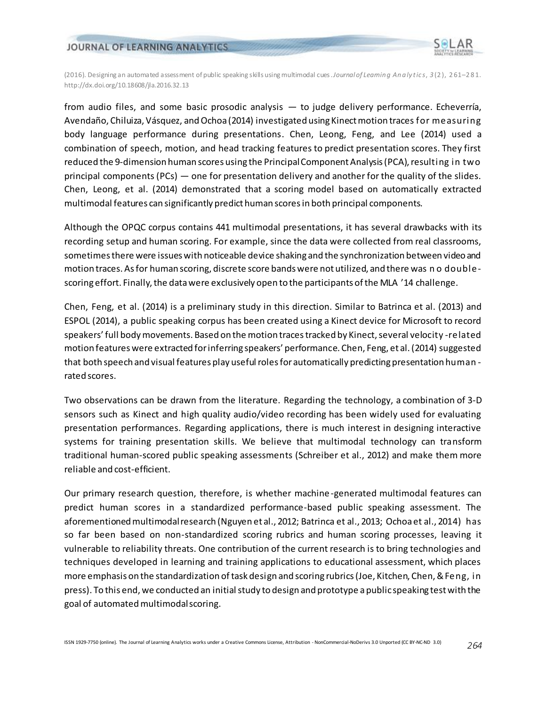

(2016). Designing an automated assessment of public speaking skills using multimodal cues. *Journal of Learnin g An a ly t ic s*, *3* (2 ), 2 61–281. http://dx.doi.org/10.18608/jla.2016.32.13

from audio files, and some basic prosodic analysis — to judge delivery performance. Echeverría, Avendaño, Chiluiza, Vásquez, and Ochoa (2014) investigated using Kinect motion traces for measuring body language performance during presentations. Chen, Leong, Feng, and Lee (2014) used a combination of speech, motion, and head tracking features to predict presentation scores. They first reduced the 9-dimension human scores using the Principal Component Analysis (PCA), resulting in two principal components (PCs) — one for presentation delivery and another for the quality of the slides. Chen, Leong, et al. (2014) demonstrated that a scoring model based on automatically extracted multimodal features can significantly predict human scores in both principal components.

Although the OPQC corpus contains 441 multimodal presentations, it has several drawbacks with its recording setup and human scoring. For example, since the data were collected from real classrooms, sometimes there were issues with noticeable device shaking and the synchronization between video and motion traces. As for human scoring, discrete score bands were not utilized, and there was n o doublescoring effort. Finally, the data were exclusively open to the participants of the MLA '14 challenge.

Chen, Feng, et al. (2014) is a preliminary study in this direction. Similar to Batrinca et al. (2013) and ESPOL (2014), a public speaking corpus has been created using a Kinect device for Microsoft to record speakers' full body movements. Based on the motion traces tracked by Kinect, several velocity -related motion features were extracted for inferring speakers' performance. Chen, Feng, et al. (2014) suggested that both speech and visual features play useful roles for automatically predicting presentation human rated scores.

Two observations can be drawn from the literature. Regarding the technology, a combination of 3-D sensors such as Kinect and high quality audio/video recording has been widely used for evaluating presentation performances. Regarding applications, there is much interest in designing interactive systems for training presentation skills. We believe that multimodal technology can transform traditional human-scored public speaking assessments (Schreiber et al., 2012) and make them more reliable and cost-efficient.

Our primary research question, therefore, is whether machine-generated multimodal features can predict human scores in a standardized performance-based public speaking assessment. The aforementioned multimodal research (Nguyen et al., 2012; Batrinca et al., 2013; Ochoa et al., 2014) has so far been based on non-standardized scoring rubrics and human scoring processes, leaving it vulnerable to reliability threats. One contribution of the current research is to bring technologies and techniques developed in learning and training applications to educational assessment, which places more emphasis on the standardization of task design and scoring rubrics(Joe, Kitchen, Chen, & Feng, in press). To this end, we conducted an initial study to design and prototype a public speaking test with the goal of automated multimodal scoring.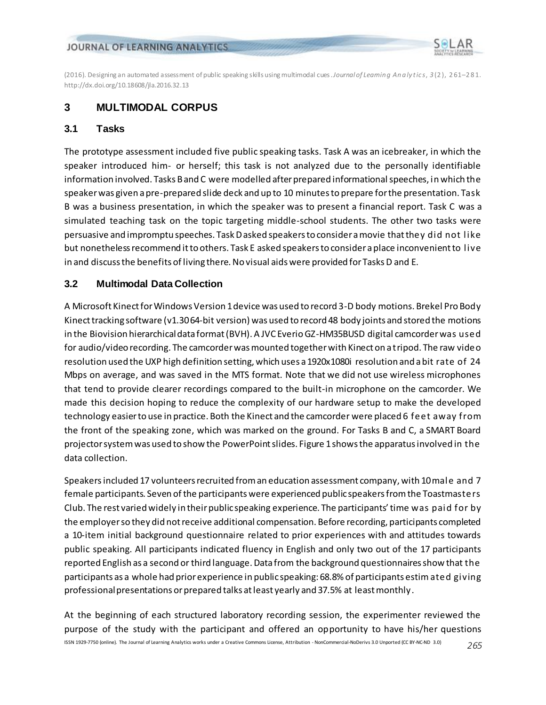

(2016). Designing an automated assessment of public speaking skills using multimodal cues. *Journal of Learnin g An a ly t ic s*, *3* (2 ), 2 61–281. http://dx.doi.org/10.18608/jla.2016.32.13

## **3 MULTIMODAL CORPUS**

#### **3.1 Tasks**

The prototype assessment included five public speaking tasks. Task A was an icebreaker, in which the speaker introduced him- or herself; this task is not analyzed due to the personally identifiable information involved. Tasks B and C were modelled after prepared informational speeches, in which the speaker was given a pre-prepared slide deck and up to 10 minutes to prepare for the presentation. Task B was a business presentation, in which the speaker was to present a financial report. Task C was a simulated teaching task on the topic targeting middle-school students. The other two tasks were persuasive and impromptu speeches. Task D asked speakers to consider a movie that they did not like but nonetheless recommend it to others. Task E asked speakers to consider a place inconvenient to live in and discuss the benefits of living there. No visual aids were provided for Tasks D and E.

## **3.2 Multimodal Data Collection**

A Microsoft Kinect for Windows Version 1 device was used to record 3-D body motions. Brekel Pro Body Kinect tracking software (v1.30 64-bit version) was used to record 48 body joints and stored the motions in the Biovision hierarchical data format (BVH). A JVC Everio GZ-HM35BUSD digital camcorder was used for audio/video recording. The camcorder was mounted together with Kinect on a tripod. The raw video resolution used the UXP high definition setting, which uses a 1920x1080i resolution and a bit rate of 24 Mbps on average, and was saved in the MTS format. Note that we did not use wireless microphones that tend to provide clearer recordings compared to the built-in microphone on the camcorder. We made this decision hoping to reduce the complexity of our hardware setup to make the developed technology easierto use in practice. Both the Kinect and the camcorder were placed 6 feet away from the front of the speaking zone, which was marked on the ground. For Tasks B and C, a SMART Board projector system was used to show the PowerPoint slides. Figure 1 shows the apparatus involved in the data collection.

Speakers included 17 volunteers recruited from an education assessment company, with 10 male and 7 female participants. Seven of the participants were experienced public speakers from the Toastmasters Club. The rest varied widely in their public speaking experience. The participants' time was paid for by the employer so they did not receive additional compensation. Before recording, participants completed a 10-item initial background questionnaire related to prior experiences with and attitudes towards public speaking. All participants indicated fluency in English and only two out of the 17 participants reported English as a second or third language. Data from the background questionnaires show that the participants as a whole had prior experience in public speaking: 68.8% of participants estim ated giving professional presentations or prepared talks at least yearly and 37.5% at least monthly.

ISSN 1929-7750 (online). The Journal of Learning Analytics works under a Creative Commons License, Attribution - NonCommercial-NoDerivs 3.0 Unported (CC BY-NC-ND 3.0) *265* At the beginning of each structured laboratory recording session, the experimenter reviewed the purpose of the study with the participant and offered an opportunity to have his/her questions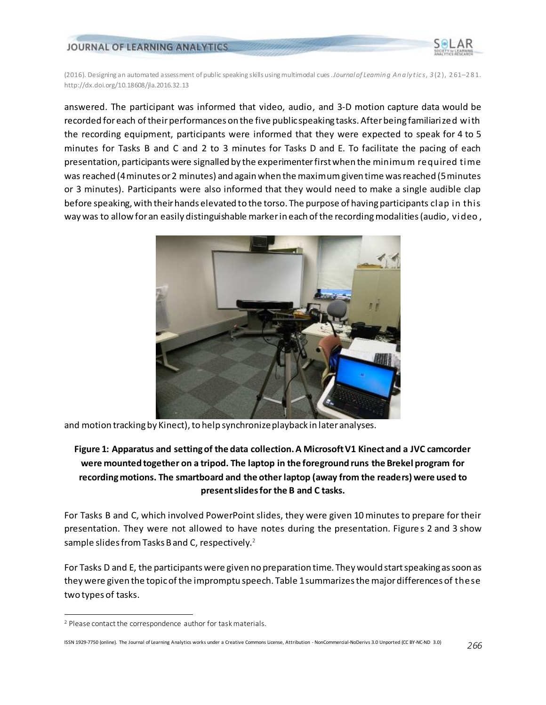

(2016). Designing an automated assessment of public speaking skills using multimodal cues. *Journal of Learnin g An a ly t ic s*, *3* (2 ), 2 61–281. http://dx.doi.org/10.18608/jla.2016.32.13

answered. The participant was informed that video, audio, and 3-D motion capture data would be recorded for each of their performances on the five public speaking tasks. After being familiarized with the recording equipment, participants were informed that they were expected to speak for 4 to 5 minutes for Tasks B and C and 2 to 3 minutes for Tasks D and E. To facilitate the pacing of each presentation, participants were signalled by the experimenter first when the minimum required time was reached (4 minutes or 2 minutes) and again when the maximumgiven time was reached (5 minutes or 3 minutes). Participants were also informed that they would need to make a single audible clap before speaking, with their hands elevated to the torso. The purpose of having participants clap in this way was to allow for an easily distinguishable marker in each of the recording modalities (audio, video ,



and motion tracking by Kinect), to help synchronize playback in later analyses.

## **Figure 1: Apparatus and setting of the data collection. A Microsoft V1 Kinect and a JVC camcorder were mounted together on a tripod. The laptop in the foreground runs the Brekel program for recording motions. The smartboard and the other laptop (away from the readers) were used to present slides for the B and C tasks.**

For Tasks B and C, which involved PowerPoint slides, they were given 10 minutes to prepare for their presentation. They were not allowed to have notes during the presentation. Figure s 2 and 3 show sample slides from Tasks B and C, respectively. $^{\text{2}}$ 

For Tasks D and E, the participants were given no preparation time. They would start speaking as soon as they were given the topic of the impromptu speech. Table 1 summarizes the major differences of these two types of tasks.

l

<sup>2</sup> Please contact the correspondence author for task materials.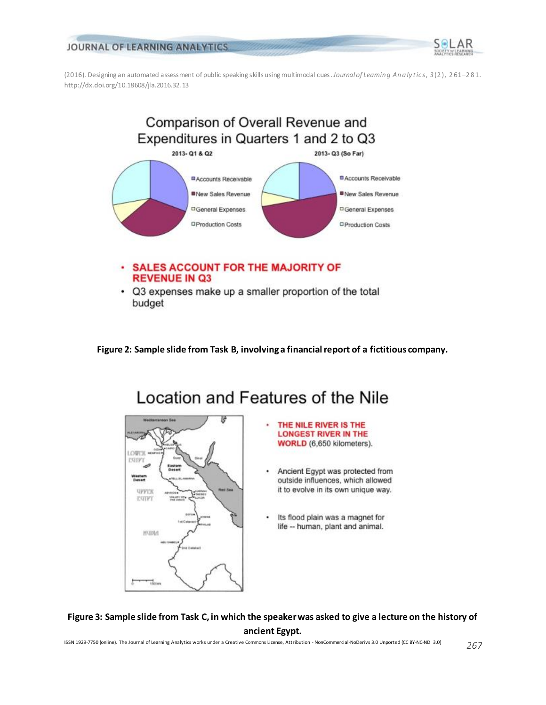

(2016). Designing an automated assessment of public speaking skills using multimodal cues. *Journal of Learnin g An a ly t ic s*, *3* (2 ), 2 61–281. http://dx.doi.org/10.18608/jla.2016.32.13



**Figure 2: Sample slide from Task B, involving a financial report of a fictitious company.**



# Location and Features of the Nile

- THE NILE RIVER IS THE **LONGEST RIVER IN THE** WORLD (6,650 kilometers).
- Ancient Egypt was protected from outside influences, which allowed it to evolve in its own unique way.
- Its flood plain was a magnet for life -- human, plant and animal.

**Figure 3: Sample slide from Task C, in which the speaker was asked to give a lecture on the history of ancient Egypt.**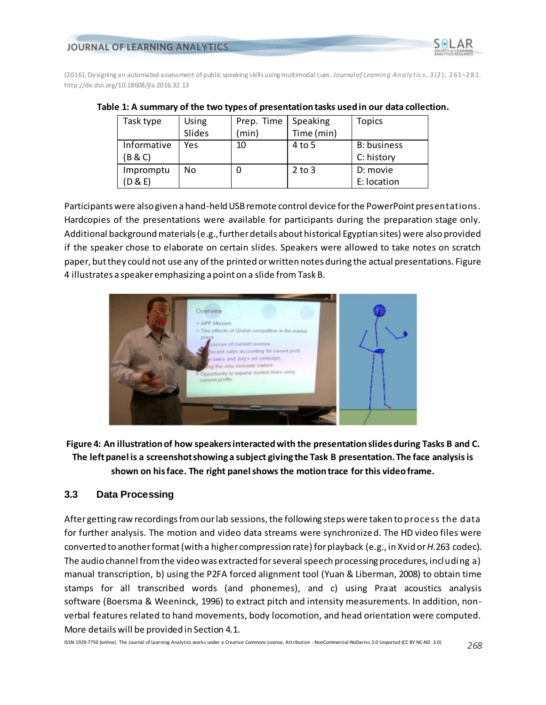



| Task type   | Using  | Prep. Time | Speaking   | Topics             |
|-------------|--------|------------|------------|--------------------|
|             | Slides | (min)      | Time (min) |                    |
| Informative | Yes    | 10         | 4 to 5     | <b>B:</b> business |
| (B & C)     |        |            |            | C: history         |
| Impromptu   | No     |            | $2$ to 3   | D: movie           |
| (D & E)     |        |            |            | E: location        |

Participants were also given a hand-held USB remote control device for the PowerPoint presentations. Hardcopies of the presentations were available for participants during the preparation stage only. Additional background materials (e.g., further details about historical Egyptian sites) were also provided if the speaker chose to elaborate on certain slides. Speakers were allowed to take notes on scratch paper, but they could not use any of the printed or written notes during the actual presentations. Figure 4 illustrates a speaker emphasizing a point on a slide from Task B.



**Figure 4: An illustration of how speakers interacted with the presentation slides during Tasks B and C. The left panel is a screenshot showing a subject giving the Task B presentation. The face analysis is shown on his face. The right panel shows the motion trace for this video frame.**

## **3.3 Data Processing**

After getting raw recordings from our lab sessions, the following steps were taken to process the data for further analysis. The motion and video data streams were synchronized. The HD video files were converted to another format (with a higher compression rate) for playback (e.g., in Xvid or *H*.263 codec). The audio channel from the video was extracted for several speech processing procedures, including a) manual transcription, b) using the P2FA forced alignment tool (Yuan & Liberman, 2008) to obtain time stamps for all transcribed words (and phonemes), and c) using Praat acoustics analysis software (Boersma & Weeninck, 1996) to extract pitch and intensity measurements. In addition, nonverbal features related to hand movements, body locomotion, and head orientation were computed. More details will be provided in Section 4.1.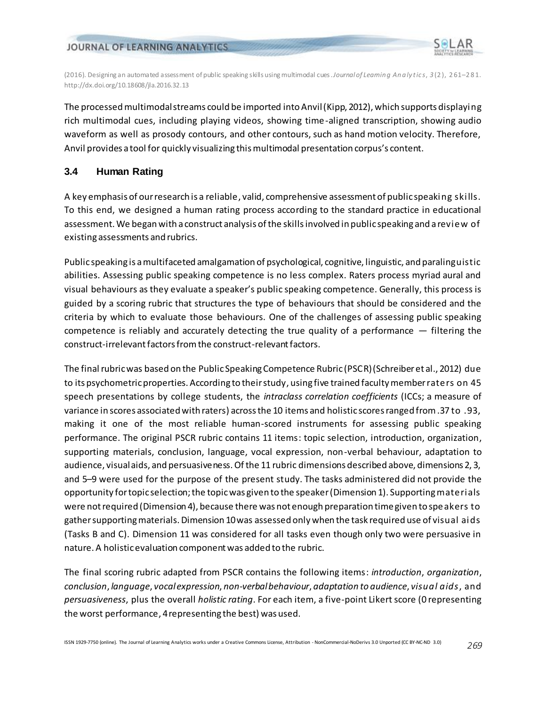

(2016). Designing an automated assessment of public speaking skills using multimodal cues. *Journal of Learnin g An a ly t ic s*, *3* (2 ), 2 61–281. http://dx.doi.org/10.18608/jla.2016.32.13

The processed multimodal streams could be imported into Anvil(Kipp, 2012), which supports displaying rich multimodal cues, including playing videos, showing time-aligned transcription, showing audio waveform as well as prosody contours, and other contours, such as hand motion velocity. Therefore, Anvil provides a tool for quickly visualizing this multimodal presentation corpus's content.

## **3.4 Human Rating**

A key emphasis of our research is a reliable, valid, comprehensive assessment of public speaking skills. To this end, we designed a human rating process according to the standard practice in educational assessment. We began with a construct analysis of the skills involved in public speaking and a review of existing assessments and rubrics.

Public speaking is a multifaceted amalgamation of psychological, cognitive, linguistic, and paralinguistic abilities. Assessing public speaking competence is no less complex. Raters process myriad aural and visual behaviours as they evaluate a speaker's public speaking competence. Generally, this process is guided by a scoring rubric that structures the type of behaviours that should be considered and the criteria by which to evaluate those behaviours. One of the challenges of assessing public speaking competence is reliably and accurately detecting the true quality of a performance — filtering the construct-irrelevant factors from the construct-relevant factors.

The final rubric was based on the Public Speaking Competence Rubric (PSCR) (Schreiber et al., 2012) due to its psychometric properties. According to their study, using five trained faculty member raters on 45 speech presentations by college students, the *intraclass correlation coefficients* (ICCs; a measure of variance in scores associated with raters) across the 10 items and holistic scores ranged from .37 to .93, making it one of the most reliable human-scored instruments for assessing public speaking performance. The original PSCR rubric contains 11 items: topic selection, introduction, organization, supporting materials, conclusion, language, vocal expression, non-verbal behaviour, adaptation to audience, visual aids, and persuasiveness. Of the 11 rubric dimensions described above, dimensions 2, 3, and 5–9 were used for the purpose of the present study. The tasks administered did not provide the opportunity for topic selection; the topic was given to the speaker (Dimension 1). Supporting materials were not required (Dimension 4), because there was not enough preparation time given to speakers to gather supporting materials. Dimension 10 was assessed only when the task required use of visual aids (Tasks B and C). Dimension 11 was considered for all tasks even though only two were persuasive in nature. A holistic evaluation component was added to the rubric.

The final scoring rubric adapted from PSCR contains the following items: *introduction*, *organization*, *conclusion*, *language*, *vocal expression*, *non-verbal behaviour*, *adaptation to audience*, *visual aids*, and *persuasiveness*, plus the overall *holistic rating*. For each item, a five-point Likert score (0 representing the worst performance, 4 representing the best) was used.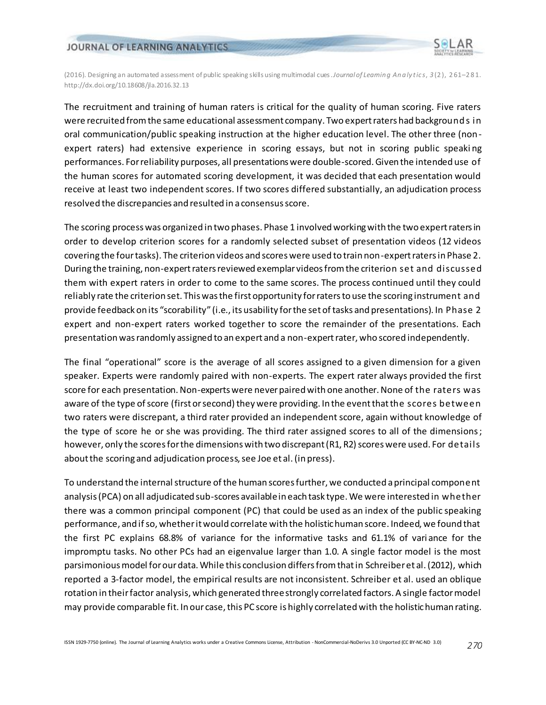

(2016). Designing an automated assessment of public speaking skills using multimodal cues. *Journal of Learnin g An a ly t ic s*, *3* (2 ), 2 61–281. http://dx.doi.org/10.18608/jla.2016.32.13

The recruitment and training of human raters is critical for the quality of human scoring. Five raters were recruited from the same educational assessment company. Two expert raters had background s in oral communication/public speaking instruction at the higher education level. The other three (nonexpert raters) had extensive experience in scoring essays, but not in scoring public speaki ng performances. For reliability purposes, all presentations were double-scored. Given the intended use of the human scores for automated scoring development, it was decided that each presentation would receive at least two independent scores. If two scores differed substantially, an adjudication process resolved the discrepancies and resulted in a consensus score.

The scoring process was organized in two phases. Phase 1 involved working with the two expert raters in order to develop criterion scores for a randomly selected subset of presentation videos (12 videos covering the four tasks). The criterion videos and scores were used to train non-expert raters in Phase 2. During the training, non-expert raters reviewed exemplar videos from the criterion set and discussed them with expert raters in order to come to the same scores. The process continued until they could reliably rate the criterion set. This was the first opportunity for raters to use the scoring instrument and provide feedback on its "scorability" (i.e., its usability for the set of tasks and presentations). In Phase 2 expert and non-expert raters worked together to score the remainder of the presentations. Each presentation was randomly assigned to an expert and a non-expert rater, who scored independently.

The final "operational" score is the average of all scores assigned to a given dimension for a given speaker. Experts were randomly paired with non-experts. The expert rater always provided the first score for each presentation. Non-experts were never paired with one another. None of the raters was aware of the type of score (first or second) they were providing. In the event that the scores between two raters were discrepant, a third rater provided an independent score, again without knowledge of the type of score he or she was providing. The third rater assigned scores to all of the dimensions; however, only the scores for the dimensions with two discrepant (R1, R2) scores were used. For details about the scoring and adjudication process, see Joe et al. (in press).

To understand the internal structure of the human scores further, we conducted a principal component analysis (PCA) on all adjudicated sub-scores available in each task type. We were interested in whether there was a common principal component (PC) that could be used as an index of the public speaking performance, and if so, whether it would correlate with the holistic human score. Indeed, we found that the first PC explains 68.8% of variance for the informative tasks and 61.1% of vari ance for the impromptu tasks. No other PCs had an eigenvalue larger than 1.0. A single factor model is the most parsimonious model for our data. While this conclusion differs from that in Schreiber et al. (2012), which reported a 3-factor model, the empirical results are not inconsistent. Schreiber et al. used an oblique rotation in their factor analysis, which generated three strongly correlated factors. A single factor model may provide comparable fit. In our case, this PC score is highly correlated with the holistic human rating.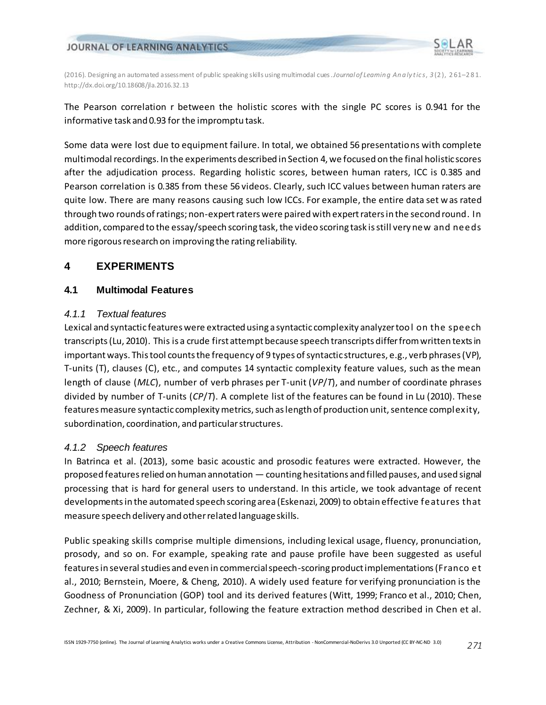

The Pearson correlation r between the holistic scores with the single PC scores is 0.941 for the informative task and 0.93 for the impromptu task.

Some data were lost due to equipment failure. In total, we obtained 56 presentations with complete multimodal recordings. In the experiments described in Section 4, we focused on the final holistic scores after the adjudication process. Regarding holistic scores, between human raters, ICC is 0.385 and Pearson correlation is 0.385 from these 56 videos. Clearly, such ICC values between human raters are quite low. There are many reasons causing such low ICCs. For example, the entire data set was rated through two rounds of ratings; non-expert raters were paired with expert raters in the second round. In addition, compared to the essay/speech scoring task, the video scoring task is still very new and needs more rigorous research on improving the rating reliability.

## **4 EXPERIMENTS**

## **4.1 Multimodal Features**

## *4.1.1 Textual features*

Lexical and syntactic features were extracted using a syntactic complexity analyzer too l on the speech transcripts(Lu, 2010). This is a crude first attempt because speech transcripts differ from written texts in important ways. This tool counts the frequency of 9 types of syntactic structures, e.g., verb phrases (VP), T-units (T), clauses (C), etc., and computes 14 syntactic complexity feature values, such as the mean length of clause (*MLC*), number of verb phrases per T-unit (*VP*/*T*), and number of coordinate phrases divided by number of T-units (*CP*/*T*). A complete list of the features can be found in Lu (2010). These features measure syntactic complexity metrics, such as length of production unit, sentence complexity, subordination, coordination, and particular structures.

## *4.1.2 Speech features*

In Batrinca et al. (2013), some basic acoustic and prosodic features were extracted. However, the proposed features relied on human annotation — counting hesitations and filled pauses, and used signal processing that is hard for general users to understand. In this article, we took advantage of recent developmentsin the automated speech scoring area (Eskenazi, 2009) to obtain effective features that measure speech delivery and other related language skills.

Public speaking skills comprise multiple dimensions, including lexical usage, fluency, pronunciation, prosody, and so on. For example, speaking rate and pause profile have been suggested as useful features in several studies and even in commercial speech-scoring product implementations(Franco et al., 2010; Bernstein, Moere, & Cheng, 2010). A widely used feature for verifying pronunciation is the Goodness of Pronunciation (GOP) tool and its derived features (Witt, 1999; Franco et al., 2010; Chen, Zechner, & Xi, 2009). In particular, following the feature extraction method described in Chen et al.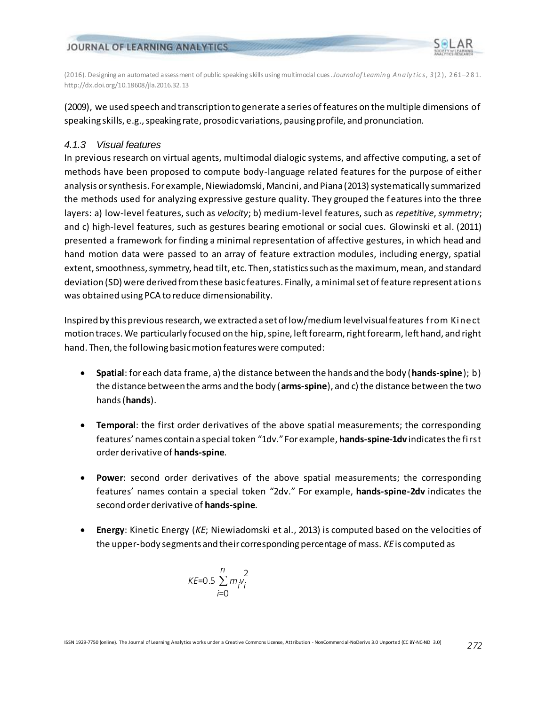

(2016). Designing an automated assessment of public speaking skills using multimodal cues. *Journal of Learnin g An a ly t ic s*, *3* (2 ), 2 61–281. http://dx.doi.org/10.18608/jla.2016.32.13

(2009), we used speech and transcription to generate a series of features on the multiple dimensions of speaking skills, e.g., speaking rate, prosodic variations, pausing profile, and pronunciation.

## *4.1.3 Visual features*

In previous research on virtual agents, multimodal dialogic systems, and affective computing, a set of methods have been proposed to compute body-language related features for the purpose of either analysis or synthesis. For example, Niewiadomski, Mancini, and Piana (2013) systematically summarized the methods used for analyzing expressive gesture quality. They grouped the features into the three layers: a) low-level features, such as *velocity*; b) medium-level features, such as *repetitive*, *symmetry*; and c) high-level features, such as gestures bearing emotional or social cues. Glowinski et al. (2011) presented a framework for finding a minimal representation of affective gestures, in which head and hand motion data were passed to an array of feature extraction modules, including energy, spatial extent, smoothness, symmetry, head tilt, etc. Then, statistics such as the maximum, mean, and standard deviation (SD) were derived from these basic features. Finally, aminimal set of feature representations was obtained using PCA to reduce dimensionability.

Inspired by this previous research, we extracted a set of low/medium level visual features from Kinect motion traces. We particularly focused on the hip, spine, left forearm, right forearm, left hand, and right hand. Then, the following basic motion features were computed:

- **Spatial**: for each data frame, a) the distance between the hands and the body (**hands-spine**); b) the distance between the arms and the body (**arms-spine**), and c) the distance between the two hands (**hands**).
- **Temporal**: the first order derivatives of the above spatial measurements; the corresponding features' names contain a special token "1dv." For example, **hands-spine-1dv** indicates the first order derivative of **hands-spine**.
- **Power**: second order derivatives of the above spatial measurements; the corresponding features' names contain a special token "2dv." For example, **hands-spine-2dv** indicates the second order derivative of **hands-spine**.
- **Energy**: Kinetic Energy (*KE*; Niewiadomski et al., 2013) is computed based on the velocities of the upper-body segments and their corresponding percentage of mass. *KE*is computed as

$$
KE = 0.5 \sum_{i=0}^{n} m_i v_i^2
$$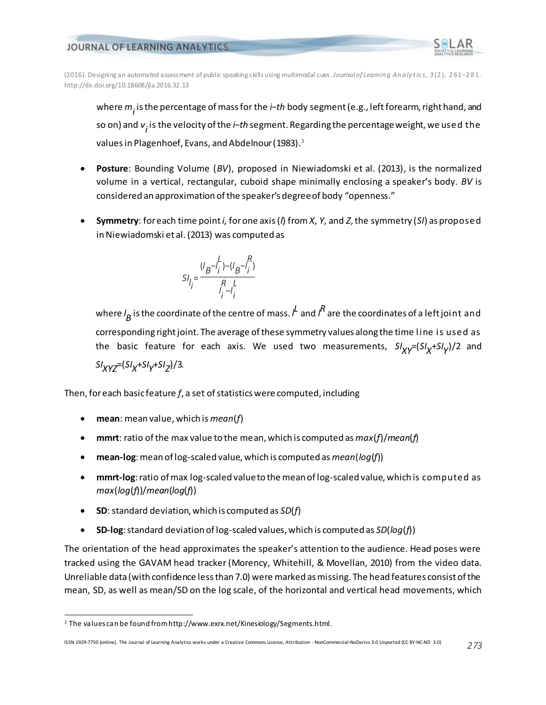

(2016). Designing an automated assessment of public speaking skills using multimodal cues. *Journal of Learnin g An a ly t ic s*, *3* (2 ), 2 61–281. http://dx.doi.org/10.18608/jla.2016.32.13

where *mi* is the percentage of mass for the *i*−*th* body segment (e.g., left forearm, right hand, and so on) and *v<sub>i</sub>* is the velocity of the *i−th* segment. Regarding the percentage weight, we used the values in Plagenhoef, Evans, and Abdelnour (1983).<sup>3</sup>

- **Posture**: Bounding Volume (*BV*), proposed in Niewiadomski et al. (2013), is the normalized volume in a vertical, rectangular, cuboid shape minimally enclosing a speaker's body. *BV* is considered an approximation of the speaker's degree of body "openness."
- **Symmetry**: for each time point *i*, for one axis (*l*) from *X*, *Y*, and *Z*, the symmetry (*SI*) as proposed in Niewiadomski et al. (2013) was computed as

$$
SI_{l_j} = \frac{(l_B - l_i) - (l_B - l_i)^R}{l_i - l_i}
$$

where  $\iota_{\mathcal{B}}$  is the coordinate of the centre of mass.  $\iota^{\mathcal{L}}$  and  $\iota^{\mathcal{R}}$  are the coordinates of a left joint and corresponding right joint. The average of these symmetry values along the time line is used as the basic feature for each axis. We used two measurements,  $\frac{S I_X}{Y}$ =(SI<sub>X</sub>+SI<sub>Y</sub>)/2 and *SIXYZ*=(*SIX* <sup>+</sup>*SIY* <sup>+</sup>*SIZ* )/3.

Then, for each basic feature *f*, a set of statistics were computed, including

- **mean**: mean value, which is *mean*(*f*)
- **mmrt**: ratio of the max value to the mean, which is computed as *max*(*f*)/*mean*(*f*)
- **mean-log**: mean of log-scaled value, which is computed as *mean*(*log*(*f*))
- **mmrt-log**: ratio of max log-scaled value to the mean of log-scaled value, which is computed as *max*(*log*(*f*))/*mean*(*log*(*f*))
- **SD**: standard deviation, which is computed as *SD*(*f*)
- **SD-log**: standard deviation of log-scaled values, which is computed as *SD*(*log*(*f*))

The orientation of the head approximates the speaker's attention to the audience. Head poses were tracked using the GAVAM head tracker (Morency, Whitehill, & Movellan, 2010) from the video data. Unreliable data (with confidence less than 7.0) were marked as missing. The head features consist of the mean, SD, as well as mean/SD on the log scale, of the horizontal and vertical head movements, which

l

<sup>&</sup>lt;sup>3</sup> The values can be found from http://www.exrx.net/Kinesiology/Segments.html.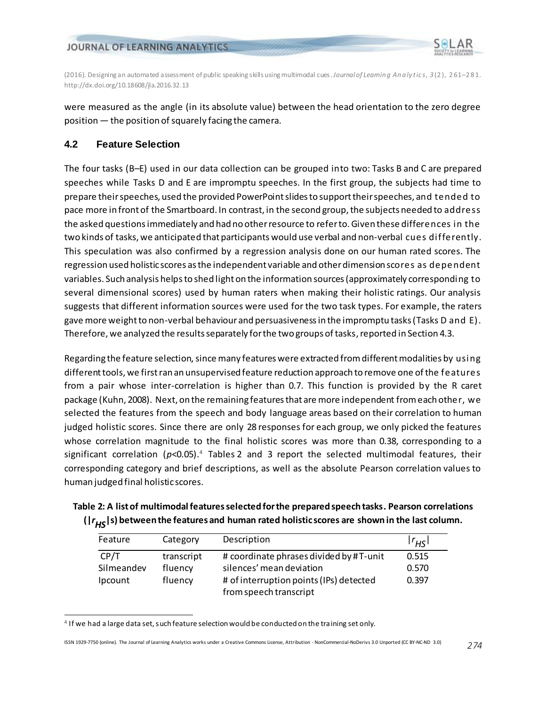



were measured as the angle (in its absolute value) between the head orientation to the zero degree position — the position of squarely facing the camera.

## **4.2 Feature Selection**

l

The four tasks (B–E) used in our data collection can be grouped into two: Tasks B and C are prepared speeches while Tasks D and E are impromptu speeches. In the first group, the subjects had time to prepare their speeches, used the provided PowerPoint slides to support their speeches, and tended to pace more in front of the Smartboard. In contrast, in the second group, the subjects needed to address the asked questions immediately and had no other resource to refer to. Given these differences in the two kinds of tasks, we anticipated that participants would use verbal and non-verbal cues differently. This speculation was also confirmed by a regression analysis done on our human rated scores. The regression used holistic scores as the independent variable and other dimension scores as dependent variables. Such analysis helps to shed light on the information sources (approximately corresponding to several dimensional scores) used by human raters when making their holistic ratings. Our analysis suggests that different information sources were used for the two task types. For example, the raters gave more weight to non-verbal behaviour and persuasivenessin the impromptu tasks (Tasks D and E). Therefore, we analyzed the results separately for the two groups of tasks, reported in Section 4.3.

Regarding the feature selection, since many features were extracted from different modalities by using different tools, we first ran an unsupervised feature reduction approach to remove one of the features from a pair whose inter-correlation is higher than 0.7. This function is provided by the R caret package (Kuhn, 2008). Next, on the remaining features that are more independent fromeach other, we selected the features from the speech and body language areas based on their correlation to human judged holistic scores. Since there are only 28 responses for each group, we only picked the features whose correlation magnitude to the final holistic scores was more than 0.38, corresponding to a significant correlation (*p*<0.05). <sup>4</sup> Tables 2 and 3 report the selected multimodal features, their corresponding category and brief descriptions, as well as the absolute Pearson correlation values to human judged final holistic scores.

| Table 2: A list of multimodal features selected for the prepared speech tasks. Pearson correlations |
|-----------------------------------------------------------------------------------------------------|
| $( r_{HS} s)$ between the features and human rated holistic scores are shown in the last column.    |

| Feature    | Category   | Description                             | $ r_{H5} $ |
|------------|------------|-----------------------------------------|------------|
| CP/T       | transcript | # coordinate phrases divided by #T-unit | 0.515      |
| Silmeandev | fluency    | silences' mean deviation                | 0.570      |
| Ipcount    | fluency    | # of interruption points (IPs) detected | 0.397      |
|            |            | from speech transcript                  |            |

<sup>4</sup> If we had a large data set, such feature selection would be conducted on the training set only.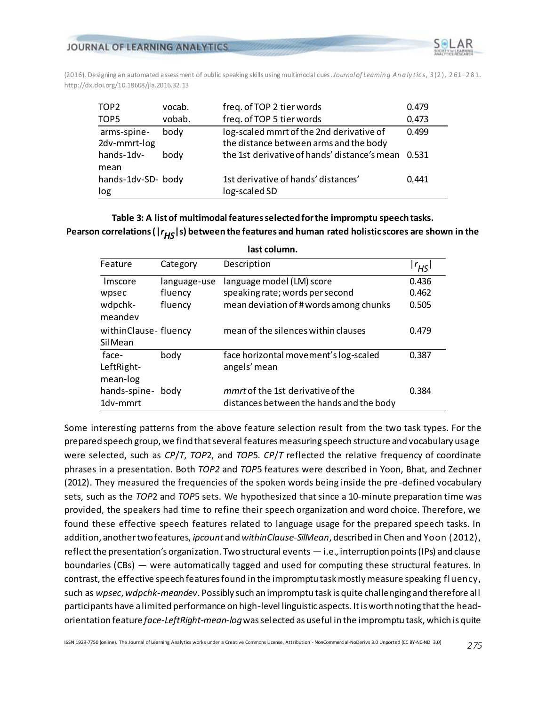

| TOP <sub>2</sub>            | vocab. | freq. of TOP 2 tier words                                                          | 0.479 |
|-----------------------------|--------|------------------------------------------------------------------------------------|-------|
| TOP5                        | vobab. | freq. of TOP 5 tier words                                                          | 0.473 |
| arms-spine-<br>2dv-mmrt-log | body   | log-scaled mmrt of the 2nd derivative of<br>the distance between arms and the body | 0.499 |
| hands-1dv-<br>mean          | bodv   | the 1st derivative of hands' distance's mean 0.531                                 |       |
| hands-1dv-SD- body<br>log   |        | 1st derivative of hands' distances'<br>log-scaled SD                               | 0.441 |

## **Table 3: A list of multimodal features selected for the impromptu speech tasks.** Pearson correlations ( $|r_{HS}|s$ ) between the features and human rated holistic scores are shown in the

| last column.                    |              |                                                                               |            |
|---------------------------------|--------------|-------------------------------------------------------------------------------|------------|
| Feature                         | Category     | Description                                                                   | $ r_{HS} $ |
| Imscore                         | language-use | language model (LM) score                                                     | 0.436      |
| wpsec                           | fluency      | speaking rate; words per second                                               | 0.462      |
| wdpchk-<br>meandev              | fluency      | mean deviation of # words among chunks                                        | 0.505      |
| withinClause-fluency<br>SilMean |              | mean of the silences within clauses                                           | 0.479      |
| face-<br>LeftRight-<br>mean-log | body         | face horizontal movement's log-scaled<br>angels' mean                         | 0.387      |
| hands-spine-<br>1dv-mmrt        | body         | mmrt of the 1st derivative of the<br>distances between the hands and the body | 0.384      |

Some interesting patterns from the above feature selection result from the two task types. For the prepared speech group, we find that several features measuring speech structure and vocabulary usage were selected, such as *CP*/*T*, *TOP*2, and *TOP*5. *CP*/*T* reflected the relative frequency of coordinate phrases in a presentation. Both *TOP2* and *TOP*5 features were described in Yoon, Bhat, and Zechner (2012). They measured the frequencies of the spoken words being inside the pre-defined vocabulary sets, such as the *TOP*2 and *TOP*5 sets. We hypothesized that since a 10-minute preparation time was provided, the speakers had time to refine their speech organization and word choice. Therefore, we found these effective speech features related to language usage for the prepared speech tasks. In addition, another two features, *ipcount* and *withinClause-SilMean*, described in Chen and Yoon (2012), reflect the presentation's organization. Two structural events — i.e., interruption points (IPs) and clause boundaries (CBs) — were automatically tagged and used for computing these structural features. In contrast, the effective speech features found in the impromptu task mostly measure speaking fluency, such as *wpsec*, *wdpchk-meandev*. Possibly such an impromptu task is quite challenging and therefore all participants have a limited performance on high-level linguistic aspects. It is worth noting that the headorientation feature *face-LeftRight-mean-log*was selected as useful in the impromptu task, which is quite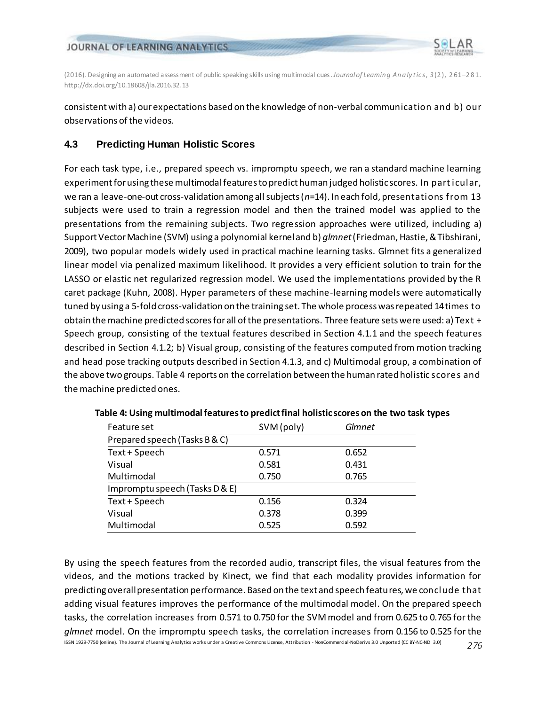

consistent with a) our expectations based on the knowledge of non-verbal communication and b) our observations of the videos.

## **4.3 Predicting Human Holistic Scores**

For each task type, i.e., prepared speech vs. impromptu speech, we ran a standard machine learning experiment for using these multimodal features to predict human judged holistic scores. In particular, we ran a leave-one-out cross-validation among all subjects (*n*=14). In each fold, presentations from 13 subjects were used to train a regression model and then the trained model was applied to the presentations from the remaining subjects. Two regression approaches were utilized, including a) Support Vector Machine (SVM) using a polynomial kernel and b) *glmnet*(Friedman, Hastie, & Tibshirani, 2009), two popular models widely used in practical machine learning tasks. Glmnet fits a generalized linear model via penalized maximum likelihood. It provides a very efficient solution to train for the LASSO or elastic net regularized regression model. We used the implementations provided by the R caret package (Kuhn, 2008). Hyper parameters of these machine-learning models were automatically tuned by using a 5-fold cross-validation on the training set. The whole process was repeated 14 times to obtain the machine predicted scores for all of the presentations. Three feature sets were used: a) Text + Speech group, consisting of the textual features described in Section 4.1.1 and the speech features described in Section 4.1.2; b) Visual group, consisting of the features computed from motion tracking and head pose tracking outputs described in Section 4.1.3, and c) Multimodal group, a combination of the above two groups. Table 4 reports on the correlation between the human rated holistic scores and the machine predicted ones.

| Feature set                    | SVM (poly) | Glmnet |  |
|--------------------------------|------------|--------|--|
| Prepared speech (Tasks B & C)  |            |        |  |
| Text + Speech                  | 0.571      | 0.652  |  |
| Visual                         | 0.581      | 0.431  |  |
| Multimodal                     | 0.750      | 0.765  |  |
| Impromptu speech (Tasks D & E) |            |        |  |
| Text + Speech                  | 0.156      | 0.324  |  |
| Visual                         | 0.378      | 0.399  |  |
| Multimodal                     | 0.525      | 0.592  |  |

| Table 4: Using multimodal features to predict final holistic scores on the two task types |  |  |
|-------------------------------------------------------------------------------------------|--|--|
|-------------------------------------------------------------------------------------------|--|--|

ISSN 1929-7750 (online). The Journal of Learning Analytics works under a Creative Commons License, Attribution - NonCommercial-NoDerivs 3.0 Unported (CC BY-NC-ND 3.0) *276* By using the speech features from the recorded audio, transcript files, the visual features from the videos, and the motions tracked by Kinect, we find that each modality provides information for predicting overall presentation performance. Based on the text and speech features, we conclude that adding visual features improves the performance of the multimodal model. On the prepared speech tasks, the correlation increases from 0.571 to 0.750 for the SVM model and from 0.625 to 0.765 for the *glmnet* model. On the impromptu speech tasks, the correlation increases from 0.156 to 0.525 for the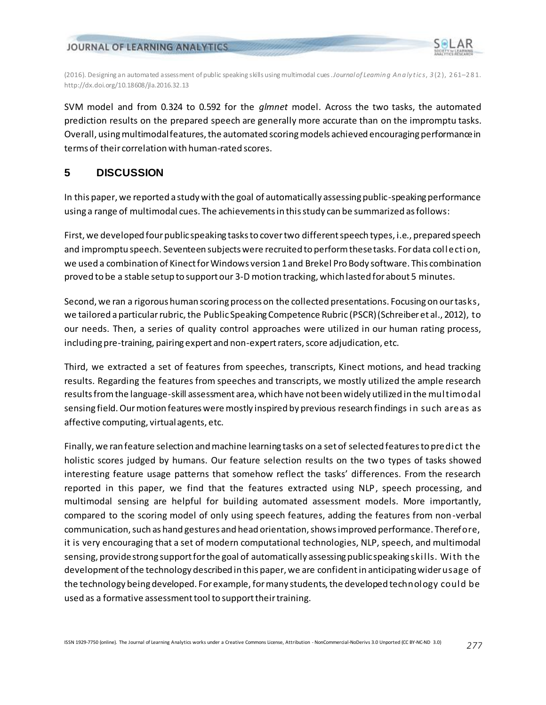

(2016). Designing an automated assessment of public speaking skills using multimodal cues. *Journal of Learnin g An a ly t ic s*, *3* (2 ), 2 61–281. http://dx.doi.org/10.18608/jla.2016.32.13

SVM model and from 0.324 to 0.592 for the *glmnet* model. Across the two tasks, the automated prediction results on the prepared speech are generally more accurate than on the impromptu tasks. Overall, using multimodal features, the automated scoring models achieved encouraging performance in terms of their correlation with human-rated scores.

## **5 DISCUSSION**

In this paper, we reported a study with the goal of automatically assessing public-speaking performance using a range of multimodal cues. The achievements in this study can be summarized as follows:

First, we developed four public speaking tasks to cover two different speech types, i.e., prepared speech and impromptu speech. Seventeen subjects were recruited to perform these tasks. For data collection, we used a combination of Kinect for Windows version 1 and Brekel Pro Body software. This combination proved to be a stable setup to support our 3-D motion tracking, which lasted for about 5 minutes.

Second, we ran a rigorous human scoring process on the collected presentations. Focusing on our tasks, we tailored a particularrubric, the Public Speaking Competence Rubric (PSCR)(Schreiber et al., 2012), to our needs. Then, a series of quality control approaches were utilized in our human rating process, including pre-training, pairing expert and non-expert raters, score adjudication, etc.

Third, we extracted a set of features from speeches, transcripts, Kinect motions, and head tracking results. Regarding the features from speeches and transcripts, we mostly utilized the ample research results from the language-skill assessment area, which have not been widely utilized in the multimodal sensing field. Our motion features were mostly inspired by previous research findings in such areas as affective computing, virtual agents, etc.

Finally, we ran feature selection and machine learning tasks on a set of selected features to predict the holistic scores judged by humans. Our feature selection results on the two types of tasks showed interesting feature usage patterns that somehow reflect the tasks' differences. From the research reported in this paper, we find that the features extracted using NLP, speech processing, and multimodal sensing are helpful for building automated assessment models. More importantly, compared to the scoring model of only using speech features, adding the features from non-verbal communication, such as hand gestures and head orientation, shows improved performance. Therefore, it is very encouraging that a set of modern computational technologies, NLP, speech, and multimodal sensing, provide strong support for the goal of automatically assessing public speaking skills. With the development of the technology described in this paper, we are confident in anticipatingwider usage of the technology being developed. For example, for many students, the developed technology could be used as a formative assessment tool to support their training.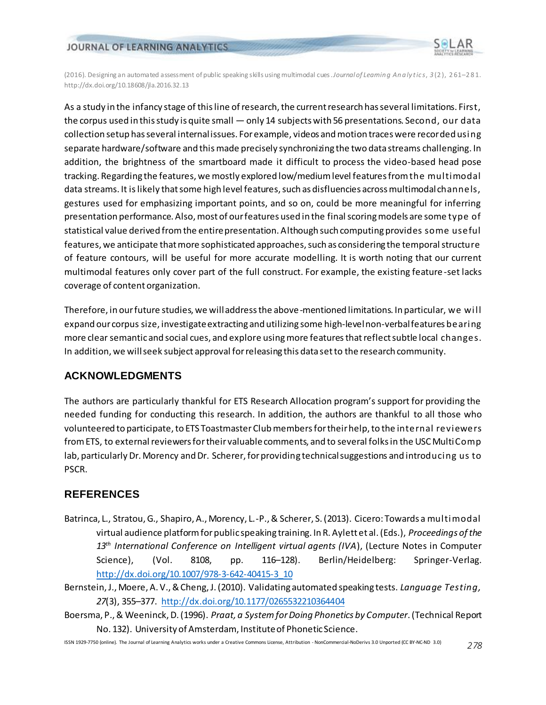

(2016). Designing an automated assessment of public speaking skills using multimodal cues. *Journal of Learnin g An a ly t ic s*, *3* (2 ), 2 61–281. http://dx.doi.org/10.18608/jla.2016.32.13

As a study in the infancy stage of this line of research, the current research has several limitations. First, the corpus used in this study is quite small — only 14 subjects with 56 presentations. Second, our data collection setup has several internal issues. For example, videos and motion traces were recorded using separate hardware/software and this made precisely synchronizing the two data streams challenging. In addition, the brightness of the smartboard made it difficult to process the video-based head pose tracking. Regarding the features, we mostly explored low/medium level features from the multimodal data streams. It is likely that some high level features, such as disfluencies across multimodal channels, gestures used for emphasizing important points, and so on, could be more meaningful for inferring presentation performance. Also, most of our features used in the final scoring models are some type of statistical value derived from the entire presentation. Although such computing provides some useful features, we anticipate that more sophisticated approaches, such as considering the temporal structure of feature contours, will be useful for more accurate modelling. It is worth noting that our current multimodal features only cover part of the full construct. For example, the existing feature -set lacks coverage of content organization.

Therefore, in our future studies, we will address the above-mentioned limitations. In particular, we will expand our corpus size, investigate extracting and utilizing some high-level non-verbal features bearing more clear semantic and social cues, and explore usingmore features that reflect subtle local changes. In addition, we will seek subject approval for releasing this data set to the research community.

## **ACKNOWLEDGMENTS**

The authors are particularly thankful for ETS Research Allocation program's support for providing the needed funding for conducting this research. In addition, the authors are thankful to all those who volunteered to participate, to ETS Toastmaster Club members for their help, to the internal reviewers from ETS, to external reviewers for their valuable comments, and to several folks in the USC MultiComp lab, particularly Dr. Morency and Dr. Scherer, for providing technical suggestions and introducing us to PSCR.

## **REFERENCES**

- Batrinca, L., Stratou, G., Shapiro, A., Morency, L.-P., & Scherer, S. (2013). Cicero: Towards a multimodal virtual audience platform for public speaking training. In R. Aylett et al. (Eds.), *Proceedings of the 13th International Conference on Intelligent virtual agents (IVA*), [\(Lecture Notes in Computer](http://link.springer.com/bookseries/558)  [Science\)](http://link.springer.com/bookseries/558), (Vol. 8108, pp. 116–128). Berlin/Heidelberg: Springer-Verlag. [http://dx.doi.org/10.1007/978-3-642-40415-3\\_10](http://dx.doi.org/10.1007/978-3-642-40415-3_10)
- Bernstein, J., Moere, A. V., & Cheng, J. (2010). Validating automated speaking tests. *Language Testing, 27*(3), 355–377. <http://dx.doi.org/10.1177/0265532210364404>
- Boersma, P., & Weeninck, D. (1996). *Praat, a System for Doing Phonetics by Computer*. (Technical Report No. 132). University of Amsterdam, Instituteof Phonetic Science.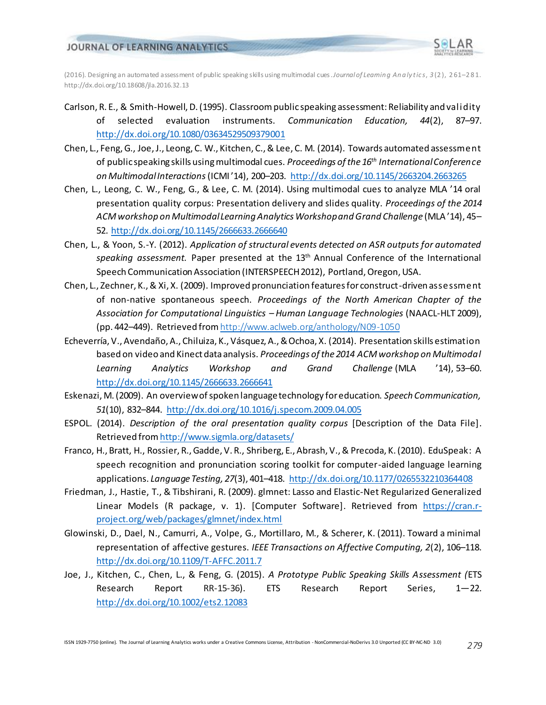

(2016). Designing an automated assessment of public speaking skills using multimodal cues. *Journal of Learnin g An a ly t ic s*, *3* (2 ), 2 61–281. http://dx.doi.org/10.18608/jla.2016.32.13

- Carlson, R. E., & Smith-Howell, D. (1995). Classroom public speaking assessment: Reliability and validity of selected evaluation instruments. *Communication Education, 44*(2), 87–97. <http://dx.doi.org/10.1080/03634529509379001>
- Chen, L., Feng, G., Joe, J., Leong, C. W., Kitchen, C., & Lee, C. M. (2014). Towards automated assessment of public speaking skills using multimodal cues. *Proceedings of the 16th International Conference on Multimodal Interactions*(ICMI '14), 200–203. <http://dx.doi.org/10.1145/2663204.2663265>
- Chen, L., Leong, C. W., Feng, G., & Lee, C. M. (2014). Using multimodal cues to analyze MLA '14 oral presentation quality corpus: Presentation delivery and slides quality. *Proceedings of the 2014 ACM workshop on Multimodal Learning Analytics Workshop and Grand Challenge* (MLA '14), 45– 52.<http://dx.doi.org/10.1145/2666633.2666640>
- Chen, L., & Yoon, S.-Y. (2012). *Application of structural events detected on ASR outputs for automated speaking assessment.* Paper presented at the 13th Annual Conference of the International Speech Communication Association (INTERSPEECH 2012), Portland, Oregon, USA.
- Chen, L., Zechner, K., & Xi, X. (2009). Improved pronunciation features for construct-driven assessment of non-native spontaneous speech. *Proceedings of the North American Chapter of the Association for Computational Linguistics – Human Language Technologies* (NAACL-HLT 2009), (pp. 442–449). Retrieved from<http://www.aclweb.org/anthology/N09-1050>
- Echeverría, V., Avendaño, A., Chiluiza, K., Vásquez, A., & Ochoa, X. (2014). Presentation skills estimation based on video and Kinect data analysis. *Proceedings of the 2014 ACM workshop on Multimodal Learning Analytics Workshop and Grand Challenge* (MLA '14), 53–60. <http://dx.doi.org/10.1145/2666633.2666641>
- Eskenazi, M. (2009). An overview of spoken language technology for education. *Speech Communication, 51*(10), 832–844. <http://dx.doi.org/10.1016/j.specom.2009.04.005>
- ESPOL. (2014). *Description of the oral presentation quality corpus* [Description of the Data File]. Retrieved fro[m http://www.sigmla.org/datasets/](http://www.sigmla.org/datasets/)
- Franco, H., Bratt, H., Rossier, R., Gadde, V. R., Shriberg, E., Abrash, V., & Precoda, K. (2010). EduSpeak: A speech recognition and pronunciation scoring toolkit for computer-aided language learning applications. *Language Testing, 27*(3), 401–418. <http://dx.doi.org/10.1177/0265532210364408>
- Friedman, J., Hastie, T., & Tibshirani, R. (2009). glmnet: Lasso and Elastic-Net Regularized Generalized Linear Models (R package, v. 1). [Computer Software]. Retrieved from [https://cran.r](https://cran.r-project.org/web/packages/glmnet/index.html)[project.org/web/packages/glmnet/index.html](https://cran.r-project.org/web/packages/glmnet/index.html)
- Glowinski, D., Dael, N., Camurri, A., Volpe, G., Mortillaro, M., & Scherer, K. (2011). Toward a minimal representation of affective gestures. *IEEE Transactions on Affective Computing, 2*(2), 106–118. <http://dx.doi.org/10.1109/T-AFFC.2011.7>
- Joe, J., Kitchen, C., Chen, L., & Feng, G. (2015). *A Prototype Public Speaking Skills Assessment (*ETS Research Report RR-15-36). ETS Research Report Series, 1—22. <http://dx.doi.org/10.1002/ets2.12083>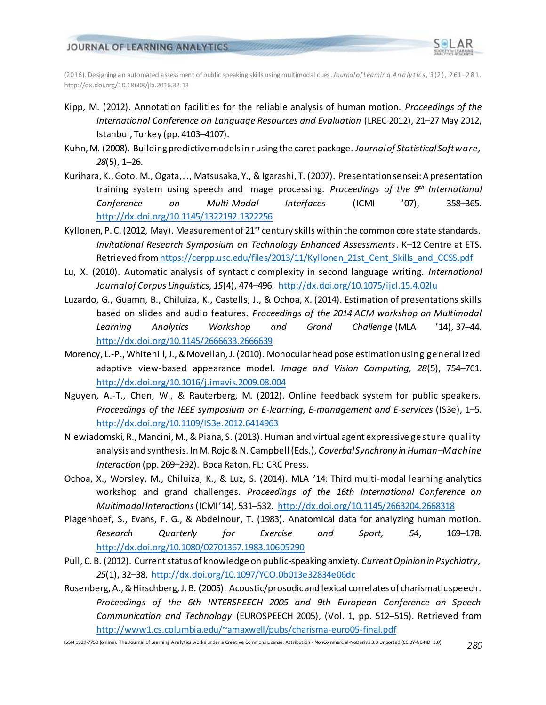

(2016). Designing an automated assessment of public speaking skills using multimodal cues. *Journal of Learnin g An a ly t ic s*, *3* (2 ), 2 61–281. http://dx.doi.org/10.18608/jla.2016.32.13

- Kipp, M. (2012). Annotation facilities for the reliable analysis of human motion. *Proceedings of the International Conference on Language Resources and Evaluation* (LREC 2012), 21–27 May 2012, Istanbul, Turkey (pp. 4103–4107).
- Kuhn, M. (2008). Building predictive models in r using the caret package. *Journal of Statistical Software, 28*(5), 1–26.
- Kurihara, K., Goto, M., Ogata, J., Matsusaka, Y., & Igarashi, T. (2007). Presentation sensei: A presentation training system using speech and image processing. *Proceedings of the 9th International Conference on Multi-Modal Interfaces* (ICMI '07), 358–365. <http://dx.doi.org/10.1145/1322192.1322256>
- Kyllonen, P. C. (2012, May). Measurement of 21<sup>st</sup> century skills within the common core state standards. *Invitational Research Symposium on Technology Enhanced Assessments*. K–12 Centre at ETS. Retrieved fro[m https://cerpp.usc.edu/files/2013/11/Kyllonen\\_21st\\_Cent\\_Skills\\_and\\_CCSS.pdf](https://cerpp.usc.edu/files/2013/11/Kyllonen_21st_Cent_Skills_and_CCSS.pdf)
- Lu, X. (2010). Automatic analysis of syntactic complexity in second language writing. *International Journal of Corpus Linguistics, 15*(4), 474–496. <http://dx.doi.org/10.1075/ijcl.15.4.02lu>
- Luzardo, G., Guamn, B., Chiluiza, K., Castells, J., & Ochoa, X. (2014). Estimation of presentations skills based on slides and audio features. *Proceedings of the 2014 ACM workshop on Multimodal Learning Analytics Workshop and Grand Challenge* (MLA '14), 37–44. <http://dx.doi.org/10.1145/2666633.2666639>
- Morency, L.-P., Whitehill, J., & Movellan, J. (2010). Monocular head pose estimation using generalized adaptive view-based appearance model. *Image and Vision Computing, 28*(5), 754–761. <http://dx.doi.org/10.1016/j.imavis.2009.08.004>
- Nguyen, A.-T., Chen, W., & Rauterberg, M. (2012). Online feedback system for public speakers. *Proceedings of the IEEE symposium on E-learning, E-management and E-services* (IS3e), 1–5. <http://dx.doi.org/10.1109/IS3e.2012.6414963>
- Niewiadomski, R., Mancini, M., & Piana, S. (2013). Human and virtual agent expressive gesture quality analysis and synthesis. In M. Rojc & N. Campbell (Eds.), *Coverbal Synchrony in Human–Machine Interaction* (pp. 269–292). Boca Raton, FL: CRC Press.
- Ochoa, X., Worsley, M., Chiluiza, K., & Luz, S. (2014). MLA '14: Third multi-modal learning analytics workshop and grand challenges. *Proceedings of the 16th International Conference on Multimodal Interactions*(ICMI '14), 531–532. <http://dx.doi.org/10.1145/2663204.2668318>
- Plagenhoef, S., Evans, F. G., & Abdelnour, T. (1983). Anatomical data for analyzing human motion. *Research Quarterly for Exercise and Sport, 54*, 169–178. <http://dx.doi.org/10.1080/02701367.1983.10605290>
- Pull, C. B. (2012). Current status of knowledge on public-speaking anxiety. *Current Opinion in Psychiatry, 25*(1), 32–38. <http://dx.doi.org/10.1097/YCO.0b013e32834e06dc>
- Rosenberg, A., & Hirschberg, J. B. (2005). Acoustic/prosodic and lexical correlates of charismatic speech. *Proceedings of the 6th INTERSPEECH 2005 and 9th European Conference on Speech Communication and Technology* (EUROSPEECH 2005), (Vol. 1, pp. 512–515). Retrieved from <http://www1.cs.columbia.edu/~amaxwell/pubs/charisma-euro05-final.pdf>